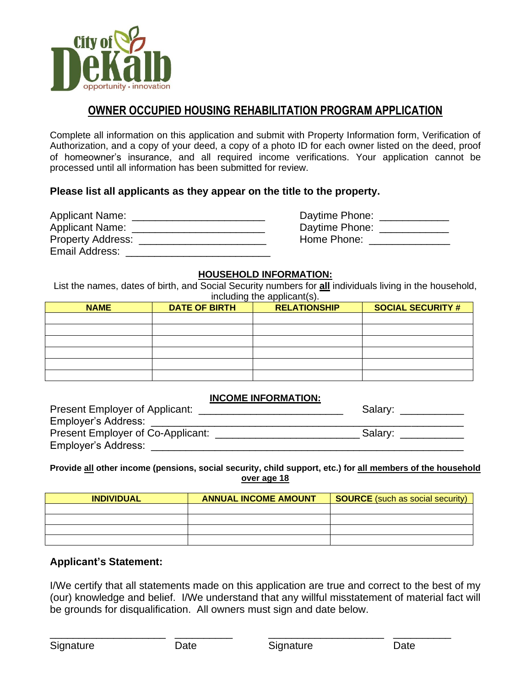

# **OWNER OCCUPIED HOUSING REHABILITATION PROGRAM APPLICATION**

Complete all information on this application and submit with Property Information form, Verification of Authorization, and a copy of your deed, a copy of a photo ID for each owner listed on the deed, proof of homeowner's insurance, and all required income verifications. Your application cannot be processed until all information has been submitted for review.

### **Please list all applicants as they appear on the title to the property.**

| <b>Applicant Name:</b>   | Daytime Phone: |
|--------------------------|----------------|
| <b>Applicant Name:</b>   | Daytime Phone: |
| <b>Property Address:</b> | Home Phone:    |
| Email Address:           |                |

#### **HOUSEHOLD INFORMATION:**

List the names, dates of birth, and Social Security numbers for **all** individuals living in the household, including the applicant(s).

| <b>NAME</b> | <b>DATE OF BIRTH</b> | <b>RELATIONSHIP</b> | <b>SOCIAL SECURITY #</b> |
|-------------|----------------------|---------------------|--------------------------|
|             |                      |                     |                          |
|             |                      |                     |                          |
|             |                      |                     |                          |
|             |                      |                     |                          |
|             |                      |                     |                          |
|             |                      |                     |                          |

#### **INCOME INFORMATION:**

| Present Employer of Applicant:    | Salary: |
|-----------------------------------|---------|
| <b>Employer's Address:</b>        |         |
| Present Employer of Co-Applicant: | Salary: |
| Employer's Address:               |         |

#### **Provide all other income (pensions, social security, child support, etc.) for all members of the household over age 18**

| <b>INDIVIDUAL</b> | <b>ANNUAL INCOME AMOUNT</b> | <b>SOURCE</b> (such as social security) |
|-------------------|-----------------------------|-----------------------------------------|
|                   |                             |                                         |
|                   |                             |                                         |
|                   |                             |                                         |
|                   |                             |                                         |

#### **Applicant's Statement:**

I/We certify that all statements made on this application are true and correct to the best of my (our) knowledge and belief. I/We understand that any willful misstatement of material fact will be grounds for disqualification. All owners must sign and date below.

\_\_\_\_\_\_\_\_\_\_\_\_\_\_\_\_\_\_\_\_ \_\_\_\_\_\_\_\_\_\_ \_\_\_\_\_\_\_\_\_\_\_\_\_\_\_\_\_\_\_\_ \_\_\_\_\_\_\_\_\_\_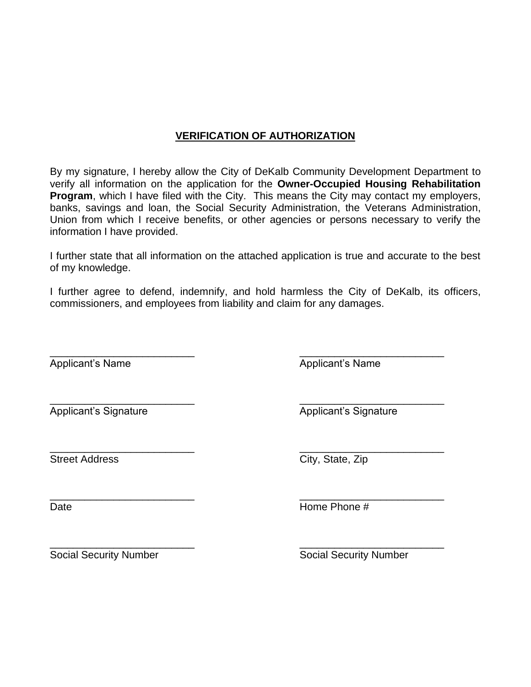# **VERIFICATION OF AUTHORIZATION**

By my signature, I hereby allow the City of DeKalb Community Development Department to verify all information on the application for the **Owner-Occupied Housing Rehabilitation Program**, which I have filed with the City. This means the City may contact my employers, banks, savings and loan, the Social Security Administration, the Veterans Administration, Union from which I receive benefits, or other agencies or persons necessary to verify the information I have provided.

I further state that all information on the attached application is true and accurate to the best of my knowledge.

I further agree to defend, indemnify, and hold harmless the City of DeKalb, its officers, commissioners, and employees from liability and claim for any damages.

\_\_\_\_\_\_\_\_\_\_\_\_\_\_\_\_\_\_\_\_\_\_\_\_\_ \_\_\_\_\_\_\_\_\_\_\_\_\_\_\_\_\_\_\_\_\_\_\_\_\_ Applicant's Name Applicant's Name

\_\_\_\_\_\_\_\_\_\_\_\_\_\_\_\_\_\_\_\_\_\_\_\_\_ \_\_\_\_\_\_\_\_\_\_\_\_\_\_\_\_\_\_\_\_\_\_\_\_\_ Applicant's Signature Applicant's Signature

\_\_\_\_\_\_\_\_\_\_\_\_\_\_\_\_\_\_\_\_\_\_\_\_\_ \_\_\_\_\_\_\_\_\_\_\_\_\_\_\_\_\_\_\_\_\_\_\_\_\_ Street Address City, State, Zip

\_\_\_\_\_\_\_\_\_\_\_\_\_\_\_\_\_\_\_\_\_\_\_\_\_ \_\_\_\_\_\_\_\_\_\_\_\_\_\_\_\_\_\_\_\_\_\_\_\_\_

Date **Date Example 20 CONSUMING A RESERVE EXAMPLE 2014 THE PHONE #** 

Social Security Number Social Security Number

\_\_\_\_\_\_\_\_\_\_\_\_\_\_\_\_\_\_\_\_\_\_\_\_\_ \_\_\_\_\_\_\_\_\_\_\_\_\_\_\_\_\_\_\_\_\_\_\_\_\_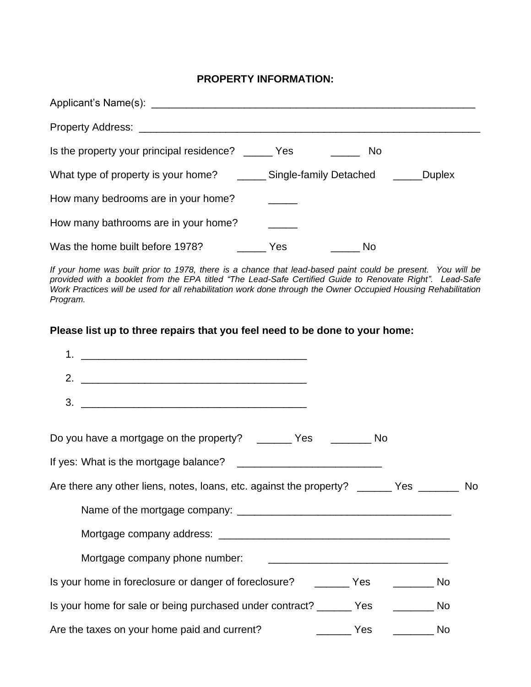### **PROPERTY INFORMATION:**

| Applicant's Name(s): Applicant by Applicant and Applicant by Applicant and Applicant and Applicant and Applicant and Applicant and Applicant and Applicant and Applicant and Applicant and Applicant and Applicant and Applica |           |
|--------------------------------------------------------------------------------------------------------------------------------------------------------------------------------------------------------------------------------|-----------|
|                                                                                                                                                                                                                                |           |
| Is the property your principal residence? ______ Yes                                                                                                                                                                           | <b>No</b> |
| What type of property is your home? _________ Single-family Detached ________Duplex                                                                                                                                            |           |
| How many bedrooms are in your home?                                                                                                                                                                                            |           |
| How many bathrooms are in your home?                                                                                                                                                                                           |           |
| Was the home built before 1978?                                                                                                                                                                                                | No<br>Yes |

*If your home was built prior to 1978, there is a chance that lead-based paint could be present. You will be provided with a booklet from the EPA titled "The Lead-Safe Certified Guide to Renovate Right". Lead-Safe Work Practices will be used for all rehabilitation work done through the Owner Occupied Housing Rehabilitation Program.*

## **Please list up to three repairs that you feel need to be done to your home:**

| 1.                                                                                        |  |
|-------------------------------------------------------------------------------------------|--|
|                                                                                           |  |
|                                                                                           |  |
| Do you have a mortgage on the property? _______ Yes ________ No                           |  |
|                                                                                           |  |
| Are there any other liens, notes, loans, etc. against the property? ______ Yes _______ No |  |
|                                                                                           |  |
|                                                                                           |  |
|                                                                                           |  |
| Is your home in foreclosure or danger of foreclosure? ________ Yes __________ No          |  |
| Is your home for sale or being purchased under contract? ______ Yes ________ No           |  |
| No Nesta No<br>Are the taxes on your home paid and current?                               |  |